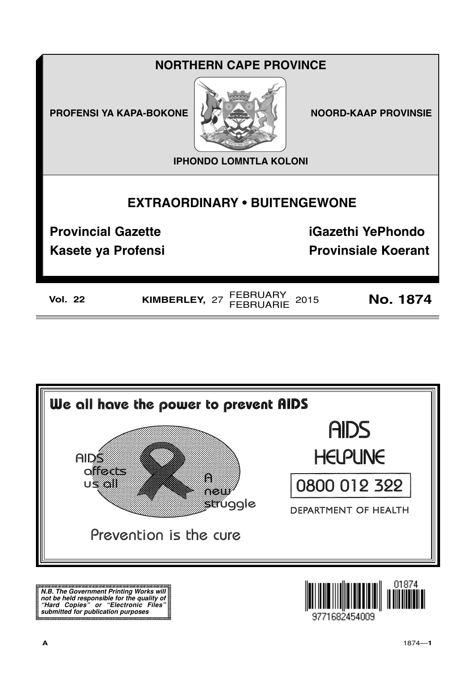# **NORTHERN CAPE PROVINCE**

**PROFENSI YA KAPA-BOKONE** 



**NOORD-KAAP PROVINSIE** 

**IPHONDO LOMNTLA KOLONI** 

# **EXTRAORDINARY . BUITENGEWONE**

**Provincial Gazette** 

**iGazethi YePhondo** 

**Kasete ya Profensi** 

**Provinsiale Koerant** 

KIMBERLEY, 27 FEBRUARY 2015

**No. 1874** 



N.B. The Government Printing Works will iv.b. The Government Printing works will<br>not be held responsible for the quality of<br>"Hard" Copies" or "Electronic Files"<br>submitted for publication purposes

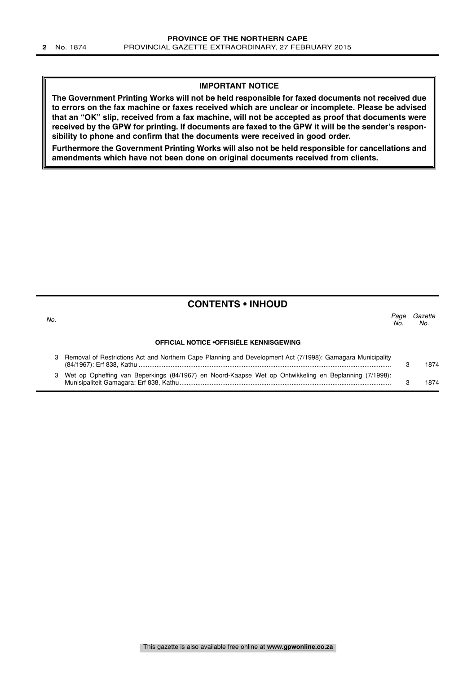### **IMPORTANT NOTICE**

**The Government Printing Works will not be held responsible for faxed documents not received due to errors on the fax machine or faxes received which are unclear or incomplete. Please be advised that an "OK" slip, received from a fax machine, will not be accepted as proof that documents were received by the GPW for printing. If documents are faxed to the GPW it will be the sender's responsibility to phone and confirm that the documents were received in good order.**

**Furthermore the Government Printing Works will also not be held responsible for cancellations and amendments which have not been done on original documents received from clients.**

## **CONTENTS • INHOUD**

| No. |                                                                                                            | Page<br>No. | Gazette<br>No. |
|-----|------------------------------------------------------------------------------------------------------------|-------------|----------------|
|     | <b>OFFICIAL NOTICE • OFFISIËLE KENNISGEWING</b>                                                            |             |                |
|     | Removal of Restrictions Act and Northern Cape Planning and Development Act (7/1998): Gamagara Municipality |             | 1874           |
|     | Wet op Opheffing van Beperkings (84/1967) en Noord-Kaapse Wet op Ontwikkeling en Beplanning (7/1998):      |             | 874            |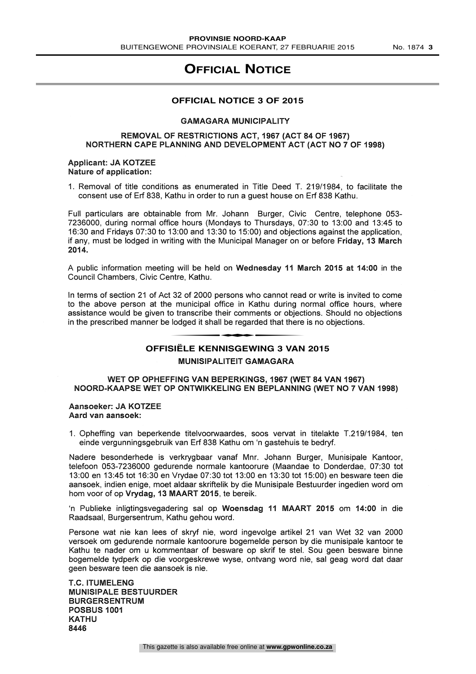## **OFFICIAL NOTICE**

#### **OFFICIAL NOTICE 3 OF 2015**

#### GAMAGARA MUNICIPALITY

#### REMOVAL OF RESTRICTIONS ACT, 1967 (ACT 84 OF 1967) NORTHERN CAPE PLANNING AND DEVELOPMENT ACT (ACT NO 7 OF 1998)

#### Applicant: JA KOTZEE Nature of application:

1. Removal of title conditions as enumerated in Title Deed T. 219/1984, to facilitate the consent use of Erf 838, Kathu in order to run a guest house on Erf 838 Kathu.

Full particulars are obtainable from Mr. Johann Burger, Civic Centre, telephone 053- 7236000, during normal office hours (Mondays to Thursdays, 07:30 to 13:00 and 13:45 to 16:30 and Fridays 07:30 to 13:00 and 13:30 to 15:00) and objections against the application, if any, must be lodged in writing with the Municipal Manager on or before Friday, 13 March 2014.

A public information meeting will be held on Wednesday 11 March 2015 at 14:00 in the Council Chambers, Civic Centre, Kathu.

In terms of section 21 of Act 32 of 2000 persons who cannot read or write is invited to come to the above person at the municipal office in Kathu during normal office hours, where assistance would be given to transcribe their comments or objections. Should no objections in the prescribed manner be lodged it shall be regarded that there is no objections. municipal office in Kathu during n<br>
o transcribe their comments or object<br>
lodged it shall be regarded that there<br>
stët E KENNISGEWING 3 VAN

# **OFFISIËLE KENNISGEWING 3 VAN 2015**

#### MUNISIPALITEIT GAMAGARA

#### WET OP OPHEFFING VAN BEPERKINGS, 1967 (WET 84 VAN 1967) NOORD-KAAPSE WET OP ONTWIKKELING EN BEPLANNING (WET NO 7 VAN 1998)

Aansoeker: JA KOTZEE Aard van aansoek:

Opheffing van beperkende titelvoorwaardes, soos vervat in titelakte T.219/1984, ten einde vergunningsgebruik van Erf 838 Kathu om 'n gastehuis te bedryf.

Nadere besonderhede is verkrygbaar vanaf Mnr. Johann Burger, Munisipale Kantoor, telefoon 053-7236000 gedurende normale kantoorure (Maandae to Donderdae, 07:30 tot 13:00 en 13:45 tot 16:30 en Vrydae 07:30 tot 13:00 en 13:30 tot 15:00) en besware teen die aansoek, indien enige, moet aldaar skriftelik by die Munisipale Bestuurder ingedien word om horn voor of op Vrydag, 13 MAART 2015, te bereik.

`n Publieke inligtingsvegadering sal op Woensdag 11 MAART 2015 om 14:00 in die Raadsaal, Burgersentrum, Kathu gehou word.

Persone wat nie kan lees of skryf nie, word ingevolge artikel 21 van Wet 32 van 2000 versoek om gedurende normale kantoorure bogemelde person by die munisipale kantoor te Kathu te nader om u kommentaar of besware op skrif te stel. Sou geen besware binne bogemelde tydperk op die voorgeskrewe wyse, ontvang word nie, sal geag word dat daar geen besware teen die aansoek is nie.

T.C. ITUMELENG MUNISIPALE BESTUURDER BURGERSENTRUM POSBUS 1001 KATHU 8446